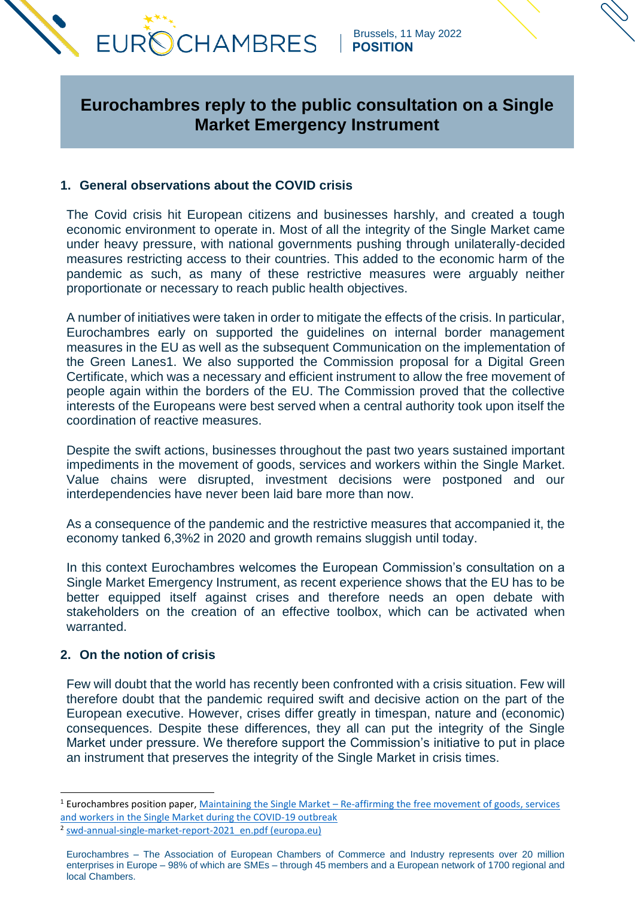

 Brussels, 11 May 2022  **POSITION**

# **Eurochambres reply to the public consultation on a Single Market Emergency Instrument**

# **1. General observations about the COVID crisis**

The Covid crisis hit European citizens and businesses harshly, and created a tough economic environment to operate in. Most of all the integrity of the Single Market came under heavy pressure, with national governments pushing through unilaterally-decided measures restricting access to their countries. This added to the economic harm of the pandemic as such, as many of these restrictive measures were arguably neither proportionate or necessary to reach public health objectives.

A number of initiatives were taken in order to mitigate the effects of the crisis. In particular, Eurochambres early on supported the guidelines on internal border management measures in the EU as well as the subsequent Communication on the implementation of the Green Lanes1. We also supported the Commission proposal for a Digital Green Certificate, which was a necessary and efficient instrument to allow the free movement of people again within the borders of the EU. The Commission proved that the collective interests of the Europeans were best served when a central authority took upon itself the coordination of reactive measures.

Despite the swift actions, businesses throughout the past two years sustained important impediments in the movement of goods, services and workers within the Single Market. Value chains were disrupted, investment decisions were postponed and our interdependencies have never been laid bare more than now.

As a consequence of the pandemic and the restrictive measures that accompanied it, the economy tanked 6,3%2 in 2020 and growth remains sluggish until today.

In this context Eurochambres welcomes the European Commission's consultation on a Single Market Emergency Instrument, as recent experience shows that the EU has to be better equipped itself against crises and therefore needs an open debate with stakeholders on the creation of an effective toolbox, which can be activated when warranted.

#### **2. On the notion of crisis**

Few will doubt that the world has recently been confronted with a crisis situation. Few will therefore doubt that the pandemic required swift and decisive action on the part of the European executive. However, crises differ greatly in timespan, nature and (economic) consequences. Despite these differences, they all can put the integrity of the Single Market under pressure. We therefore support the Commission's initiative to put in place an instrument that preserves the integrity of the Single Market in crisis times.

<sup>&</sup>lt;sup>1</sup> Eurochambres position paper, Maintaining the Single Market – Re-affirming the free movement of goods, services [and workers in the Single Market during the COVID-19 outbreak](https://www.eurochambres.eu/wp-content/uploads/2020/06/200512_ECH_Position_Paper_Single_Market_Integrity_Internal_Borders-2020-00049-01.pdf)

<sup>2</sup> [swd-annual-single-market-report-2021\\_en.pdf \(europa.eu\)](https://ec.europa.eu/info/sites/default/files/swd-annual-single-market-report-2021_en.pdf)

Eurochambres – The Association of European Chambers of Commerce and Industry represents over 20 million enterprises in Europe – 98% of which are SMEs – through 45 members and a European network of 1700 regional and local Chambers.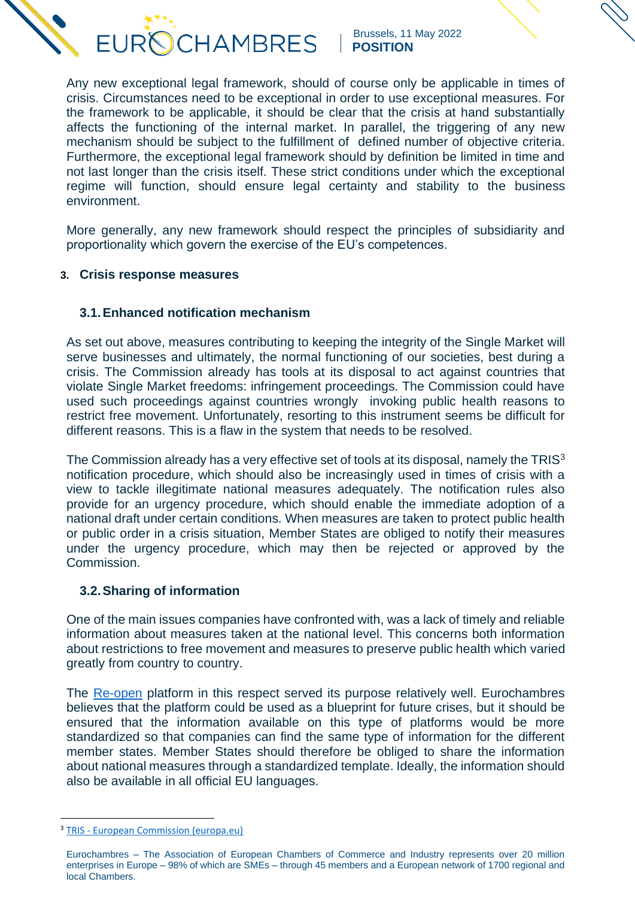**CHAMBRES EUR®** 

 Brussels, 11 May 2022  **POSITION**

Any new exceptional legal framework, should of course only be applicable in times of crisis. Circumstances need to be exceptional in order to use exceptional measures. For the framework to be applicable, it should be clear that the crisis at hand substantially affects the functioning of the internal market. In parallel, the triggering of any new mechanism should be subject to the fulfillment of defined number of objective criteria. Furthermore, the exceptional legal framework should by definition be limited in time and not last longer than the crisis itself. These strict conditions under which the exceptional regime will function, should ensure legal certainty and stability to the business environment.

More generally, any new framework should respect the principles of subsidiarity and proportionality which govern the exercise of the EU's competences.

# **3. Crisis response measures**

# **3.1.Enhanced notification mechanism**

As set out above, measures contributing to keeping the integrity of the Single Market will serve businesses and ultimately, the normal functioning of our societies, best during a crisis. The Commission already has tools at its disposal to act against countries that violate Single Market freedoms: infringement proceedings. The Commission could have used such proceedings against countries wrongly invoking public health reasons to restrict free movement. Unfortunately, resorting to this instrument seems be difficult for different reasons. This is a flaw in the system that needs to be resolved.

The Commission already has a very effective set of tools at its disposal, namely the TRIS<sup>3</sup> notification procedure, which should also be increasingly used in times of crisis with a view to tackle illegitimate national measures adequately. The notification rules also provide for an urgency procedure, which should enable the immediate adoption of a national draft under certain conditions. When measures are taken to protect public health or public order in a crisis situation, Member States are obliged to notify their measures under the urgency procedure, which may then be rejected or approved by the Commission.

## **3.2.Sharing of information**

One of the main issues companies have confronted with, was a lack of timely and reliable information about measures taken at the national level. This concerns both information about restrictions to free movement and measures to preserve public health which varied greatly from country to country.

The [Re-open](https://reopen.europa.eu/en) platform in this respect served its purpose relatively well. Eurochambres believes that the platform could be used as a blueprint for future crises, but it should be ensured that the information available on this type of platforms would be more standardized so that companies can find the same type of information for the different member states. Member States should therefore be obliged to share the information about national measures through a standardized template. Ideally, the information should also be available in all official EU languages.

<sup>&</sup>lt;sup>3</sup> TRIS - [European Commission \(europa.eu\)](https://ec.europa.eu/growth/tools-databases/tris/en/)

Eurochambres – The Association of European Chambers of Commerce and Industry represents over 20 million enterprises in Europe – 98% of which are SMEs – through 45 members and a European network of 1700 regional and local Chambers.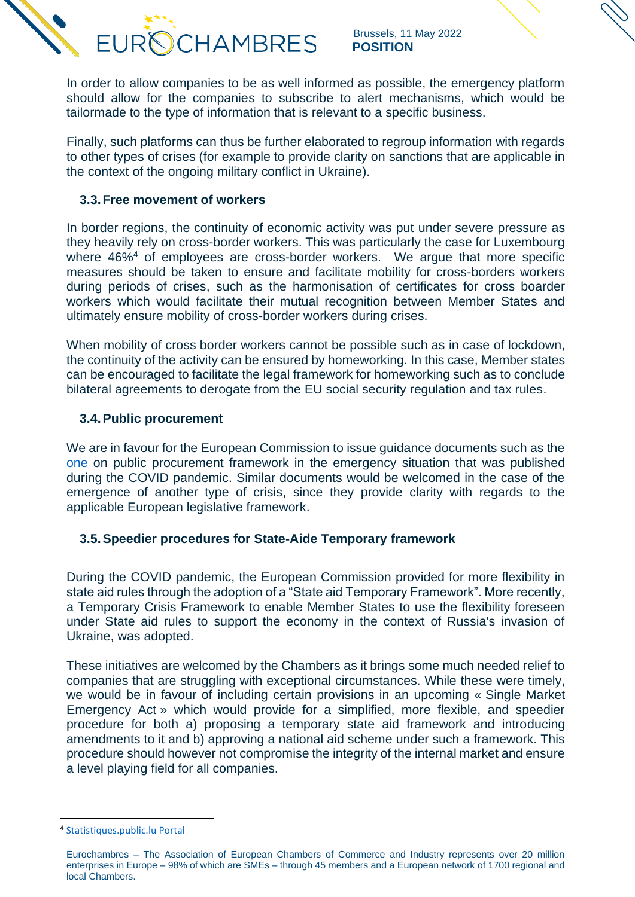In order to allow companies to be as well informed as possible, the emergency platform should allow for the companies to subscribe to alert mechanisms, which would be tailormade to the type of information that is relevant to a specific business.

Finally, such platforms can thus be further elaborated to regroup information with regards to other types of crises (for example to provide clarity on sanctions that are applicable in the context of the ongoing military conflict in Ukraine).

### **3.3.Free movement of workers**

**EUR** 

In border regions, the continuity of economic activity was put under severe pressure as they heavily rely on cross-border workers. This was particularly the case for Luxembourg where 46%<sup>4</sup> of employees are cross-border workers. We argue that more specific measures should be taken to ensure and facilitate mobility for cross-borders workers during periods of crises, such as the harmonisation of certificates for cross boarder workers which would facilitate their mutual recognition between Member States and ultimately ensure mobility of cross-border workers during crises.

When mobility of cross border workers cannot be possible such as in case of lockdown, the continuity of the activity can be ensured by homeworking. In this case, Member states can be encouraged to facilitate the legal framework for homeworking such as to conclude bilateral agreements to derogate from the EU social security regulation and tax rules.

#### **3.4.Public procurement**

We are in favour for the European Commission to issue guidance documents such as the [one](https://eur-lex.europa.eu/legal-content/EN/TXT/HTML/?uri=CELEX:52020XC0401(05)&from=EN) on public procurement framework in the emergency situation that was published during the COVID pandemic. Similar documents would be welcomed in the case of the emergence of another type of crisis, since they provide clarity with regards to the applicable European legislative framework.

## **3.5.Speedier procedures for State-Aide Temporary framework**

During the COVID pandemic, the European Commission provided for more flexibility in state aid rules through the adoption of a "State aid Temporary Framework". More recently, a Temporary Crisis Framework to enable Member States to use the flexibility foreseen under State aid rules to support the economy in the context of Russia's invasion of Ukraine, was adopted.

These initiatives are welcomed by the Chambers as it brings some much needed relief to companies that are struggling with exceptional circumstances. While these were timely, we would be in favour of including certain provisions in an upcoming « Single Market Emergency Act » which would provide for a simplified, more flexible, and speedier procedure for both a) proposing a temporary state aid framework and introducing amendments to it and b) approving a national aid scheme under such a framework. This procedure should however not compromise the integrity of the internal market and ensure a level playing field for all companies.

<sup>4</sup> [Statistiques.public.lu Portal](https://statistiques.public.lu/dam-assets/catalogue-publications/regards/2022/regards-03-22.pdf)

Eurochambres – The Association of European Chambers of Commerce and Industry represents over 20 million enterprises in Europe – 98% of which are SMEs – through 45 members and a European network of 1700 regional and local Chambers.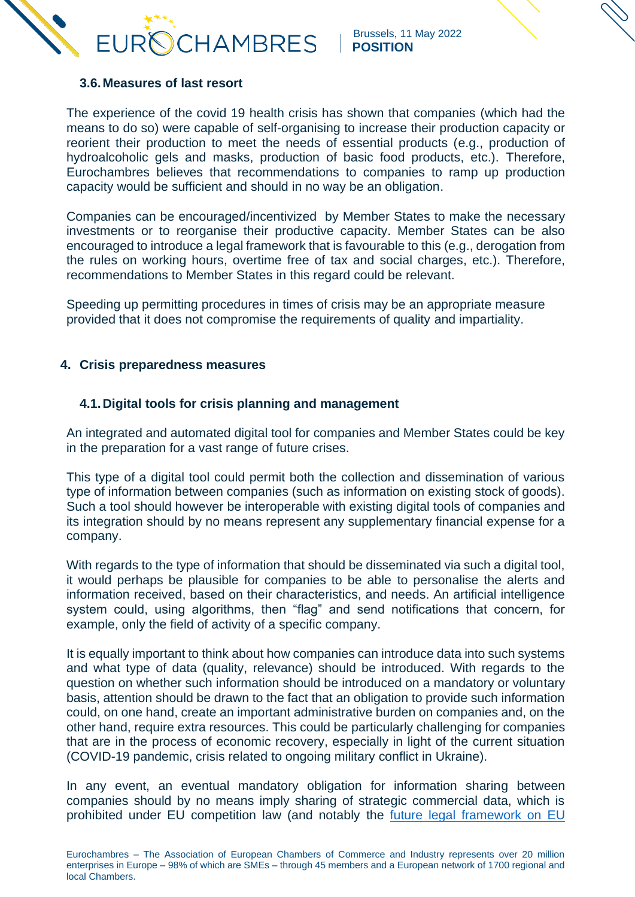

#### **3.6.Measures of last resort**

The experience of the covid 19 health crisis has shown that companies (which had the means to do so) were capable of self-organising to increase their production capacity or reorient their production to meet the needs of essential products (e.g., production of hydroalcoholic gels and masks, production of basic food products, etc.). Therefore, Eurochambres believes that recommendations to companies to ramp up production capacity would be sufficient and should in no way be an obligation.

Companies can be encouraged/incentivized by Member States to make the necessary investments or to reorganise their productive capacity. Member States can be also encouraged to introduce a legal framework that is favourable to this (e.g., derogation from the rules on working hours, overtime free of tax and social charges, etc.). Therefore, recommendations to Member States in this regard could be relevant.

Speeding up permitting procedures in times of crisis may be an appropriate measure provided that it does not compromise the requirements of quality and impartiality.

#### **4. Crisis preparedness measures**

#### **4.1.Digital tools for crisis planning and management**

An integrated and automated digital tool for companies and Member States could be key in the preparation for a vast range of future crises.

This type of a digital tool could permit both the collection and dissemination of various type of information between companies (such as information on existing stock of goods). Such a tool should however be interoperable with existing digital tools of companies and its integration should by no means represent any supplementary financial expense for a company.

With regards to the type of information that should be disseminated via such a digital tool. it would perhaps be plausible for companies to be able to personalise the alerts and information received, based on their characteristics, and needs. An artificial intelligence system could, using algorithms, then "flag" and send notifications that concern, for example, only the field of activity of a specific company.

It is equally important to think about how companies can introduce data into such systems and what type of data (quality, relevance) should be introduced. With regards to the question on whether such information should be introduced on a mandatory or voluntary basis, attention should be drawn to the fact that an obligation to provide such information could, on one hand, create an important administrative burden on companies and, on the other hand, require extra resources. This could be particularly challenging for companies that are in the process of economic recovery, especially in light of the current situation (COVID-19 pandemic, crisis related to ongoing military conflict in Ukraine).

In any event, an eventual mandatory obligation for information sharing between companies should by no means imply sharing of strategic commercial data, which is prohibited under EU competition law (and notably the [future legal framework on EU](https://ec.europa.eu/commission/presscorner/detail/en/ip_22_1371)